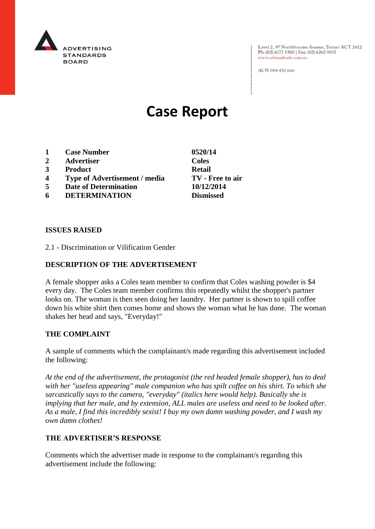

Level 2, 97 Northbourne Avenue, Turner ACT 2612 Ph: (02) 6173 1500 | Fax: (02) 6262 9833 www.adstandards.com.au

ACN 084 452 666

# **Case Report**

- **1 Case Number 0520/14**
- **2 Advertiser Coles**
- **3 Product Retail**
- **4 Type of Advertisement / media TV - Free to air**
- **5 Date of Determination 10/12/2014**
- **6 DETERMINATION Dismissed**

### **ISSUES RAISED**

2.1 - Discrimination or Vilification Gender

## **DESCRIPTION OF THE ADVERTISEMENT**

A female shopper asks a Coles team member to confirm that Coles washing powder is \$4 every day. The Coles team member confirms this repeatedly whilst the shopper's partner looks on. The woman is then seen doing her laundry. Her partner is shown to spill coffee down his white shirt then comes home and shows the woman what he has done. The woman shakes her head and says, "Everyday!"

### **THE COMPLAINT**

A sample of comments which the complainant/s made regarding this advertisement included the following:

*At the end of the advertisement, the protagonist (the red headed female shopper), has to deal with her "useless appearing" male companion who has spilt coffee on his shirt. To which she sarcastically says to the camera, "everyday" (italics here would help). Basically she is implying that her male, and by extension, ALL males are useless and need to be looked after. As a male, I find this incredibly sexist! I buy my own damn washing powder, and I wash my own damn clothes!*

### **THE ADVERTISER'S RESPONSE**

Comments which the advertiser made in response to the complainant/s regarding this advertisement include the following: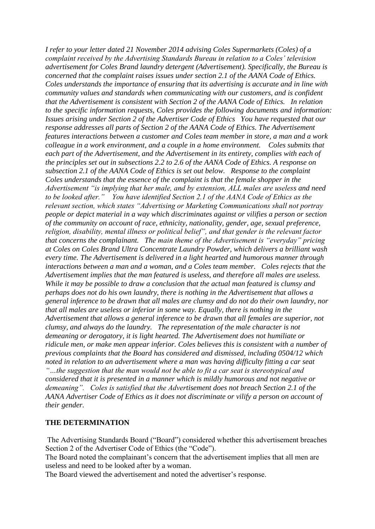*I refer to your letter dated 21 November 2014 advising Coles Supermarkets (Coles) of a complaint received by the Advertising Standards Bureau in relation to a Coles' television advertisement for Coles Brand laundry detergent (Advertisement). Specifically, the Bureau is concerned that the complaint raises issues under section 2.1 of the AANA Code of Ethics. Coles understands the importance of ensuring that its advertising is accurate and in line with community values and standards when communicating with our customers, and is confident that the Advertisement is consistent with Section 2 of the AANA Code of Ethics. In relation to the specific information requests, Coles provides the following documents and information: Issues arising under Section 2 of the Advertiser Code of Ethics You have requested that our response addresses all parts of Section 2 of the AANA Code of Ethics. The Advertisement features interactions between a customer and Coles team member in store, a man and a work colleague in a work environment, and a couple in a home environment. Coles submits that each part of the Advertisement, and the Advertisement in its entirety, complies with each of the principles set out in subsections 2.2 to 2.6 of the AANA Code of Ethics. A response on subsection 2.1 of the AANA Code of Ethics is set out below. Response to the complaint Coles understands that the essence of the complaint is that the female shopper in the Advertisement "is implying that her male, and by extension, ALL males are useless and need to be looked after." You have identified Section 2.1 of the AANA Code of Ethics as the relevant section, which states "Advertising or Marketing Communications shall not portray people or depict material in a way which discriminates against or vilifies a person or section of the community on account of race, ethnicity, nationality, gender, age, sexual preference, religion, disability, mental illness or political belief", and that gender is the relevant factor that concerns the complainant. The main theme of the Advertisement is "everyday" pricing at Coles on Coles Brand Ultra Concentrate Laundry Powder, which delivers a brilliant wash every time. The Advertisement is delivered in a light hearted and humorous manner through interactions between a man and a woman, and a Coles team member. Coles rejects that the Advertisement implies that the man featured is useless, and therefore all males are useless. While it may be possible to draw a conclusion that the actual man featured is clumsy and perhaps does not do his own laundry, there is nothing in the Advertisement that allows a general inference to be drawn that all males are clumsy and do not do their own laundry, nor that all males are useless or inferior in some way. Equally, there is nothing in the Advertisement that allows a general inference to be drawn that all females are superior, not clumsy, and always do the laundry. The representation of the male character is not demeaning or derogatory, it is light hearted. The Advertisement does not humiliate or ridicule men, or make men appear inferior. Coles believes this is consistent with a number of previous complaints that the Board has considered and dismissed, including 0504/12 which noted in relation to an advertisement where a man was having difficulty fitting a car seat "…the suggestion that the man would not be able to fit a car seat is stereotypical and considered that it is presented in a manner which is mildly humorous and not negative or demeaning". Coles is satisfied that the Advertisement does not breach Section 2.1 of the AANA Advertiser Code of Ethics as it does not discriminate or vilify a person on account of their gender.*

### **THE DETERMINATION**

The Advertising Standards Board ("Board") considered whether this advertisement breaches Section 2 of the Advertiser Code of Ethics (the "Code").

The Board noted the complainant's concern that the advertisement implies that all men are useless and need to be looked after by a woman.

The Board viewed the advertisement and noted the advertiser's response.